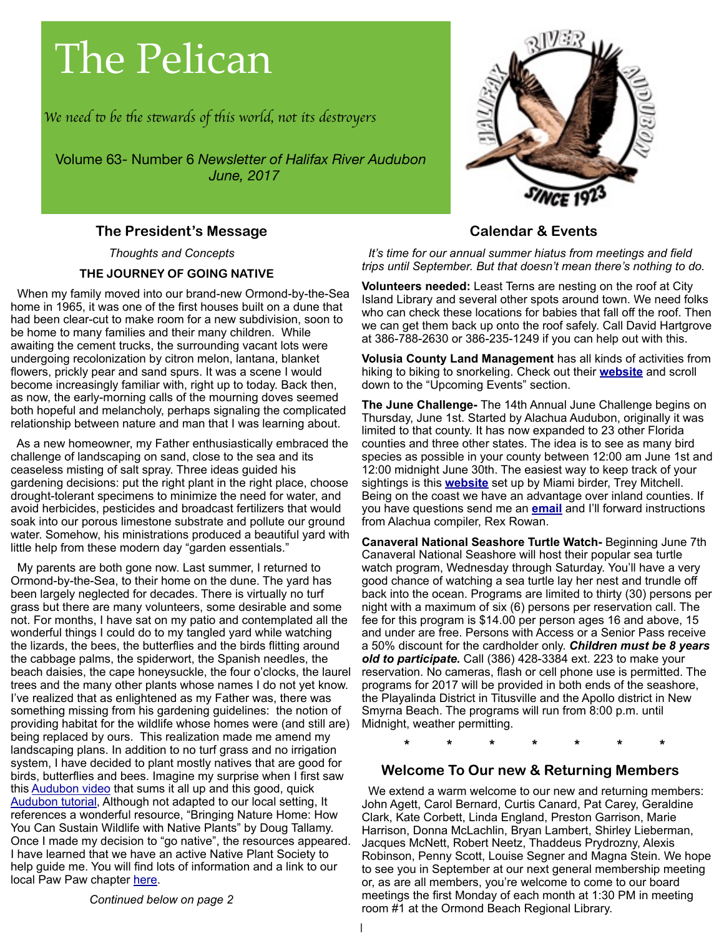# The Pelican

*We need* t *be* t*e s*t*wards of* t*is world, not its des*t*oyers*

Volume 63- Number 6 *Newsletter of Halifax River Audubon June, 2017*

# **The President's Message**

 *Thoughts and Concepts*  **THE JOURNEY OF GOING NATIVE** 

 When my family moved into our brand-new Ormond-by-the-Sea home in 1965, it was one of the first houses built on a dune that had been clear-cut to make room for a new subdivision, soon to be home to many families and their many children. While awaiting the cement trucks, the surrounding vacant lots were undergoing recolonization by citron melon, lantana, blanket flowers, prickly pear and sand spurs. It was a scene I would become increasingly familiar with, right up to today. Back then, as now, the early-morning calls of the mourning doves seemed both hopeful and melancholy, perhaps signaling the complicated relationship between nature and man that I was learning about.

 As a new homeowner, my Father enthusiastically embraced the challenge of landscaping on sand, close to the sea and its ceaseless misting of salt spray. Three ideas guided his gardening decisions: put the right plant in the right place, choose drought-tolerant specimens to minimize the need for water, and avoid herbicides, pesticides and broadcast fertilizers that would soak into our porous limestone substrate and pollute our ground water. Somehow, his ministrations produced a beautiful yard with little help from these modern day "garden essentials."

 My parents are both gone now. Last summer, I returned to Ormond-by-the-Sea, to their home on the dune. The yard has been largely neglected for decades. There is virtually no turf grass but there are many volunteers, some desirable and some not. For months, I have sat on my patio and contemplated all the wonderful things I could do to my tangled yard while watching the lizards, the bees, the butterflies and the birds flitting around the cabbage palms, the spiderwort, the Spanish needles, the beach daisies, the cape honeysuckle, the four o'clocks, the laurel trees and the many other plants whose names I do not yet know. I've realized that as enlightened as my Father was, there was something missing from his gardening guidelines: the notion of providing habitat for the wildlife whose homes were (and still are) being replaced by ours. This realization made me amend my landscaping plans. In addition to no turf grass and no irrigation system, I have decided to plant mostly natives that are good for birds, butterflies and bees. Imagine my surprise when I first saw this [Audubon video](https://www.youtube.com/watch?v=Dg30pJE-pbU) that sums it all up and this good, quick [Audubon tutorial,](http://www.audubon.org/news/10-plants-bird-friendly-yard) Although not adapted to our local setting, It references a wonderful resource, "Bringing Nature Home: How You Can Sustain Wildlife with Native Plants" by Doug Tallamy. Once I made my decision to "go native", the resources appeared. I have learned that we have an active Native Plant Society to help guide me. You will find lots of information and a link to our local Paw Paw chapter [here.](http://pawpaw.fnpschapters.org)

# **Calendar & Events**

 *It's time for our annual summer hiatus from meetings and field trips until September. But that doesn't mean there's nothing to do.*

**Volunteers needed:** Least Terns are nesting on the roof at City Island Library and several other spots around town. We need folks who can check these locations for babies that fall off the roof. Then we can get them back up onto the roof safely. Call David Hartgrove at 386-788-2630 or 386-235-1249 if you can help out with this.

**Volusia County Land Management** has all kinds of activities from hiking to biking to snorkeling. Check out their **[website](https://www.volusia.org/services/growth-and-resource-management/environmental-management/educate-volusia/)** and scroll down to the "Upcoming Events" section.

**The June Challenge-** The 14th Annual June Challenge begins on Thursday, June 1st. Started by Alachua Audubon, originally it was limited to that county. It has now expanded to 23 other Florida counties and three other states. The idea is to see as many bird species as possible in your county between 12:00 am June 1st and 12:00 midnight June 30th. The easiest way to keep track of your sightings is this **[website](http://junechallenge.com)** set up by Miami birder, Trey Mitchell. Being on the coast we have an advantage over inland counties. If you have questions send me an **[email](http://birdman9@earthlink.net)** and I'll forward instructions from Alachua compiler, Rex Rowan.

**Canaveral National Seashore Turtle Watch-** Beginning June 7th Canaveral National Seashore will host their popular sea turtle watch program, Wednesday through Saturday. You'll have a very good chance of watching a sea turtle lay her nest and trundle off back into the ocean. Programs are limited to thirty (30) persons per night with a maximum of six (6) persons per reservation call. The fee for this program is \$14.00 per person ages 16 and above, 15 and under are free. Persons with Access or a Senior Pass receive a 50% discount for the cardholder only. *Children must be 8 years old to participate.* Call (386) 428-3384 ext. 223 to make your reservation. No cameras, flash or cell phone use is permitted. The programs for 2017 will be provided in both ends of the seashore, the Playalinda District in Titusville and the Apollo district in New Smyrna Beach. The programs will run from 8:00 p.m. until Midnight, weather permitting.

**\* \* \* \* \* \* \***

# **Welcome To Our new & Returning Members**

 We extend a warm welcome to our new and returning members: John Agett, Carol Bernard, Curtis Canard, Pat Carey, Geraldine Clark, Kate Corbett, Linda England, Preston Garrison, Marie Harrison, Donna McLachlin, Bryan Lambert, Shirley Lieberman, Jacques McNett, Robert Neetz, Thaddeus Prydrozny, Alexis Robinson, Penny Scott, Louise Segner and Magna Stein. We hope to see you in September at our next general membership meeting or, as are all members, you're welcome to come to our board meetings the first Monday of each month at 1:30 PM in meeting room #1 at the Ormond Beach Regional Library.

*Continued below on page 2*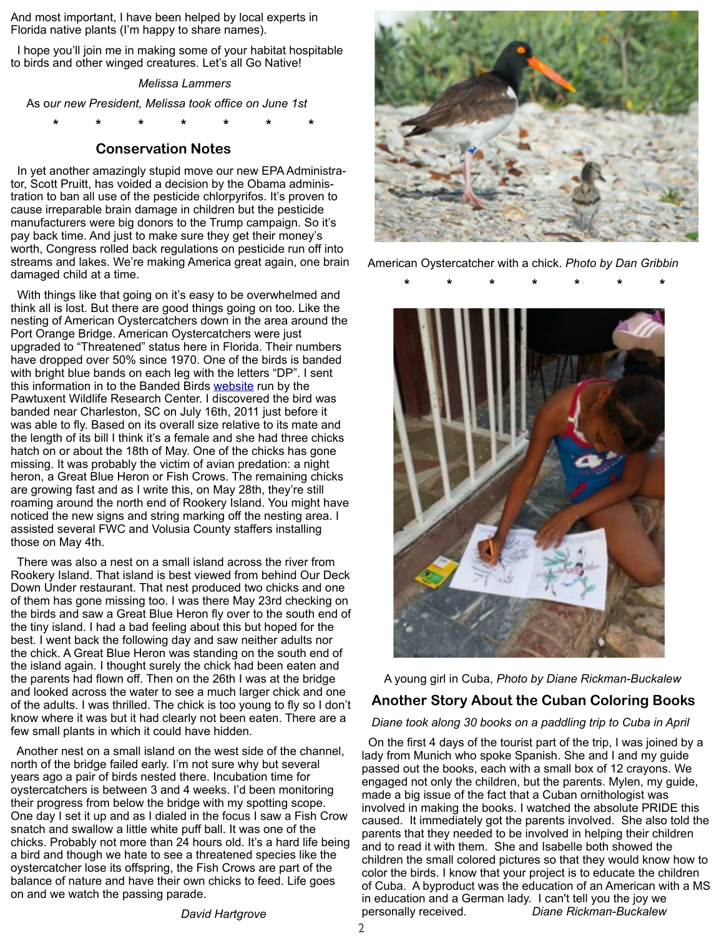And most important, I have been helped by local experts in Florida native plants (I'm happy to share names).

 I hope you'll join me in making some of your habitat hospitable to birds and other winged creatures. Let's all Go Native!

#### *Melissa Lammers*

As o*ur new President, Melissa took office on June 1st*

**\* \* \* \* \* \* \***

# **Conservation Notes**

 In yet another amazingly stupid move our new EPA Administrator, Scott Pruitt, has voided a decision by the Obama administration to ban all use of the pesticide chlorpyrifos. It's proven to cause irreparable brain damage in children but the pesticide manufacturers were big donors to the Trump campaign. So it's pay back time. And just to make sure they get their money's worth, Congress rolled back regulations on pesticide run off into streams and lakes. We're making America great again, one brain damaged child at a time.

With things like that going on it's easy to be overwhelmed and think all is lost. But there are good things going on too. Like the nesting of American Oystercatchers down in the area around the Port Orange Bridge. American Oystercatchers were just upgraded to "Threatened" status here in Florida. Their numbers have dropped over 50% since 1970. One of the birds is banded with bright blue bands on each leg with the letters "DP". I sent this information in to the Banded Birds [website](https://www.pwrc.usgs.gov/BBL/bblretrv/) run by the Pawtuxent Wildlife Research Center. I discovered the bird was banded near Charleston, SC on July 16th, 2011 just before it was able to fly. Based on its overall size relative to its mate and the length of its bill I think it's a female and she had three chicks hatch on or about the 18th of May. One of the chicks has gone missing. It was probably the victim of avian predation: a night heron, a Great Blue Heron or Fish Crows. The remaining chicks are growing fast and as I write this, on May 28th, they're still roaming around the north end of Rookery Island. You might have noticed the new signs and string marking off the nesting area. I assisted several FWC and Volusia County staffers installing those on May 4th.

 There was also a nest on a small island across the river from Rookery Island. That island is best viewed from behind Our Deck Down Under restaurant. That nest produced two chicks and one of them has gone missing too. I was there May 23rd checking on the birds and saw a Great Blue Heron fly over to the south end of the tiny island. I had a bad feeling about this but hoped for the best. I went back the following day and saw neither adults nor the chick. A Great Blue Heron was standing on the south end of the island again. I thought surely the chick had been eaten and the parents had flown off. Then on the 26th I was at the bridge and looked across the water to see a much larger chick and one of the adults. I was thrilled. The chick is too young to fly so I don't know where it was but it had clearly not been eaten. There are a few small plants in which it could have hidden.

 Another nest on a small island on the west side of the channel, north of the bridge failed early. I'm not sure why but several years ago a pair of birds nested there. Incubation time for oystercatchers is between 3 and 4 weeks. I'd been monitoring their progress from below the bridge with my spotting scope. One day I set it up and as I dialed in the focus I saw a Fish Crow snatch and swallow a little white puff ball. It was one of the chicks. Probably not more than 24 hours old. It's a hard life being a bird and though we hate to see a threatened species like the oystercatcher lose its offspring, the Fish Crows are part of the balance of nature and have their own chicks to feed. Life goes on and we watch the passing parade.



American Oystercatcher with a chick. *Photo by Dan Gribbin* 



A young girl in Cuba, *Photo by Diane Rickman-Buckalew*

# **Another Story About the Cuban Coloring Books**

#### *Diane took along 30 books on a paddling trip to Cuba in April*

 On the first 4 days of the tourist part of the trip, I was joined by a lady from Munich who spoke Spanish. She and I and my guide passed out the books, each with a small box of 12 crayons. We engaged not only the children, but the parents. Mylen, my guide, made a big issue of the fact that a Cuban ornithologist was involved in making the books. I watched the absolute PRIDE this caused. It immediately got the parents involved. She also told the parents that they needed to be involved in helping their children and to read it with them. She and Isabelle both showed the children the small colored pictures so that they would know how to color the birds. I know that your project is to educate the children of Cuba. A byproduct was the education of an American with a MS in education and a German lady. I can't tell you the joy we personally received. *Diane Rickman-Buckalew*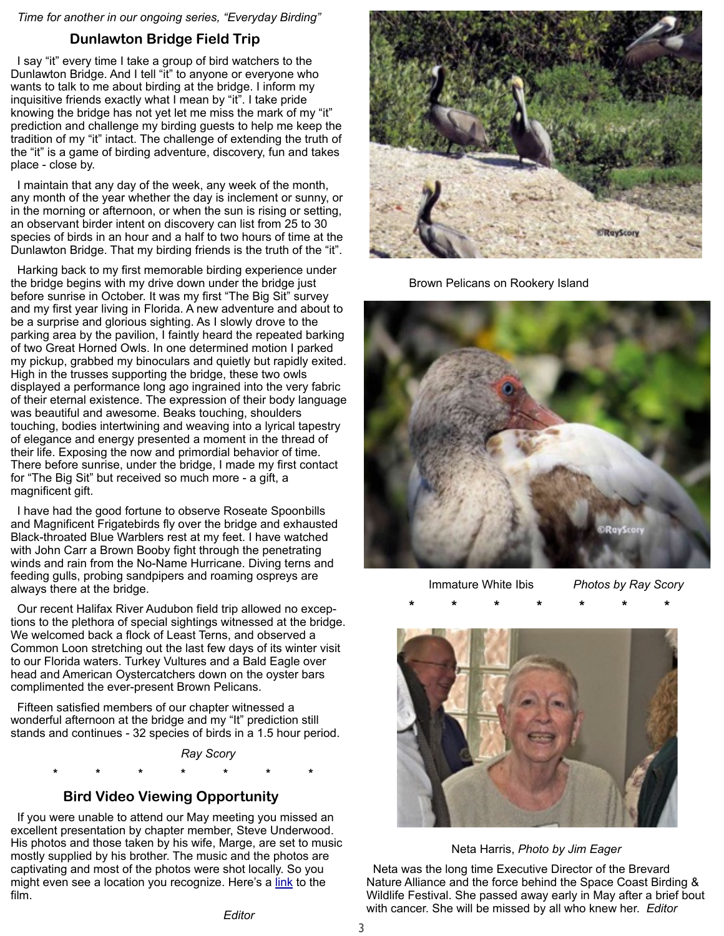*Time for another in our ongoing series, "Everyday Birding"*

## **Dunlawton Bridge Field Trip**

 I say "it" every time I take a group of bird watchers to the Dunlawton Bridge. And I tell "it" to anyone or everyone who wants to talk to me about birding at the bridge. I inform my inquisitive friends exactly what I mean by "it". I take pride knowing the bridge has not yet let me miss the mark of my "it" prediction and challenge my birding guests to help me keep the tradition of my "it" intact. The challenge of extending the truth of the "it" is a game of birding adventure, discovery, fun and takes place - close by.

 I maintain that any day of the week, any week of the month, any month of the year whether the day is inclement or sunny, or in the morning or afternoon, or when the sun is rising or setting, an observant birder intent on discovery can list from 25 to 30 species of birds in an hour and a half to two hours of time at the Dunlawton Bridge. That my birding friends is the truth of the "it".

 Harking back to my first memorable birding experience under the bridge begins with my drive down under the bridge just before sunrise in October. It was my first "The Big Sit" survey and my first year living in Florida. A new adventure and about to be a surprise and glorious sighting. As I slowly drove to the parking area by the pavilion, I faintly heard the repeated barking of two Great Horned Owls. In one determined motion I parked my pickup, grabbed my binoculars and quietly but rapidly exited. High in the trusses supporting the bridge, these two owls displayed a performance long ago ingrained into the very fabric of their eternal existence. The expression of their body language was beautiful and awesome. Beaks touching, shoulders touching, bodies intertwining and weaving into a lyrical tapestry of elegance and energy presented a moment in the thread of their life. Exposing the now and primordial behavior of time. There before sunrise, under the bridge, I made my first contact for "The Big Sit" but received so much more - a gift, a magnificent gift.

 I have had the good fortune to observe Roseate Spoonbills and Magnificent Frigatebirds fly over the bridge and exhausted Black-throated Blue Warblers rest at my feet. I have watched with John Carr a Brown Booby fight through the penetrating winds and rain from the No-Name Hurricane. Diving terns and feeding gulls, probing sandpipers and roaming ospreys are always there at the bridge.

 Our recent Halifax River Audubon field trip allowed no exceptions to the plethora of special sightings witnessed at the bridge. We welcomed back a flock of Least Terns, and observed a Common Loon stretching out the last few days of its winter visit to our Florida waters. Turkey Vultures and a Bald Eagle over head and American Oystercatchers down on the oyster bars complimented the ever-present Brown Pelicans.

 Fifteen satisfied members of our chapter witnessed a wonderful afternoon at the bridge and my "It" prediction still stands and continues - 32 species of birds in a 1.5 hour period.

*Ray Scory*

**\* \* \* \* \* \* \***

## **Bird Video Viewing Opportunity**

 If you were unable to attend our May meeting you missed an excellent presentation by chapter member, Steve Underwood. His photos and those taken by his wife, Marge, are set to music mostly supplied by his brother. The music and the photos are captivating and most of the photos were shot locally. So you might even see a location you recognize. Here's a [link](https://www.dropbox.com/sh/3q0med5hrm35c6i/AAA6HNolV50zGkw3_5jX4Ei3a?dl=0) to the film.



Brown Pelicans on Rookery Island



Immature White Ibis *Photos by Ray Scory*



Neta Harris, *Photo by Jim Eager*

 Neta was the long time Executive Director of the Brevard Nature Alliance and the force behind the Space Coast Birding & Wildlife Festival. She passed away early in May after a brief bout with cancer. She will be missed by all who knew her. *Editor*